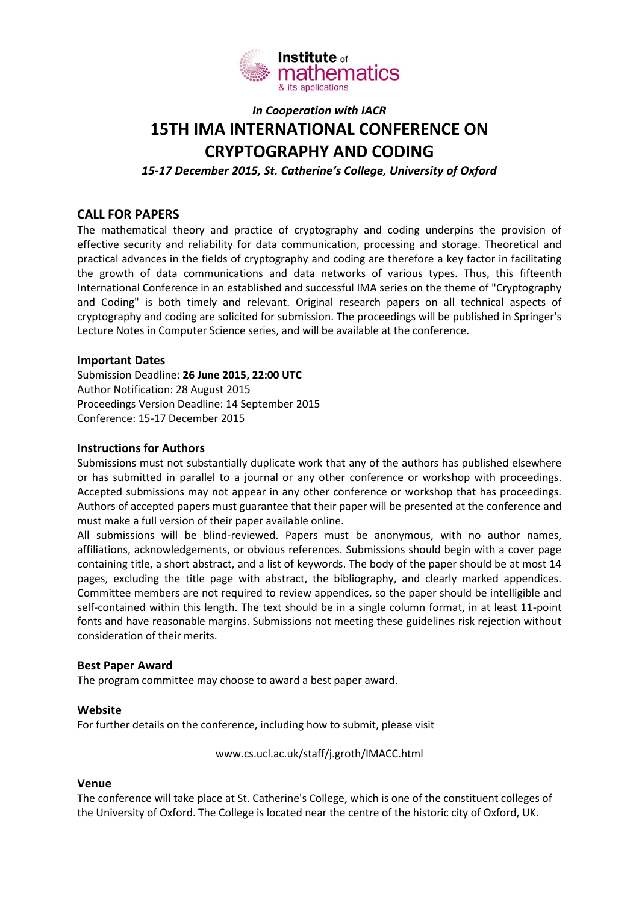

# *In Cooperation with IACR* **15TH IMA INTERNATIONAL CONFERENCE ON CRYPTOGRAPHY AND CODING**

*15-17 December 2015, St. Catherine's College, University of Oxford*

# **CALL FOR PAPERS**

The mathematical theory and practice of cryptography and coding underpins the provision of effective security and reliability for data communication, processing and storage. Theoretical and practical advances in the fields of cryptography and coding are therefore a key factor in facilitating the growth of data communications and data networks of various types. Thus, this fifteenth International Conference in an established and successful IMA series on the theme of "Cryptography and Coding" is both timely and relevant. Original research papers on all technical aspects of cryptography and coding are solicited for submission. The proceedings will be published in Springer's Lecture Notes in Computer Science series, and will be available at the conference.

### **Important Dates**

Submission Deadline: **26 June 2015, 22:00 UTC** Author Notification: 28 August 2015 Proceedings Version Deadline: 14 September 2015 Conference: 15-17 December 2015

#### **Instructions for Authors**

Submissions must not substantially duplicate work that any of the authors has published elsewhere or has submitted in parallel to a journal or any other conference or workshop with proceedings. Accepted submissions may not appear in any other conference or workshop that has proceedings. Authors of accepted papers must guarantee that their paper will be presented at the conference and must make a full version of their paper available online.

All submissions will be blind-reviewed. Papers must be anonymous, with no author names, affiliations, acknowledgements, or obvious references. Submissions should begin with a cover page containing title, a short abstract, and a list of keywords. The body of the paper should be at most 14 pages, excluding the title page with abstract, the bibliography, and clearly marked appendices. Committee members are not required to review appendices, so the paper should be intelligible and self-contained within this length. The text should be in a single column format, in at least 11-point fonts and have reasonable margins. Submissions not meeting these guidelines risk rejection without consideration of their merits.

#### **Best Paper Award**

The program committee may choose to award a best paper award.

#### **Website**

For further details on the conference, including how to submit, please visit

www.cs.ucl.ac.uk/staff/j.groth/IMACC.html

#### **Venue**

The conference will take place at St. Catherine's College, which is one of the constituent colleges of the University of Oxford. The College is located near the centre of the historic city of Oxford, UK.